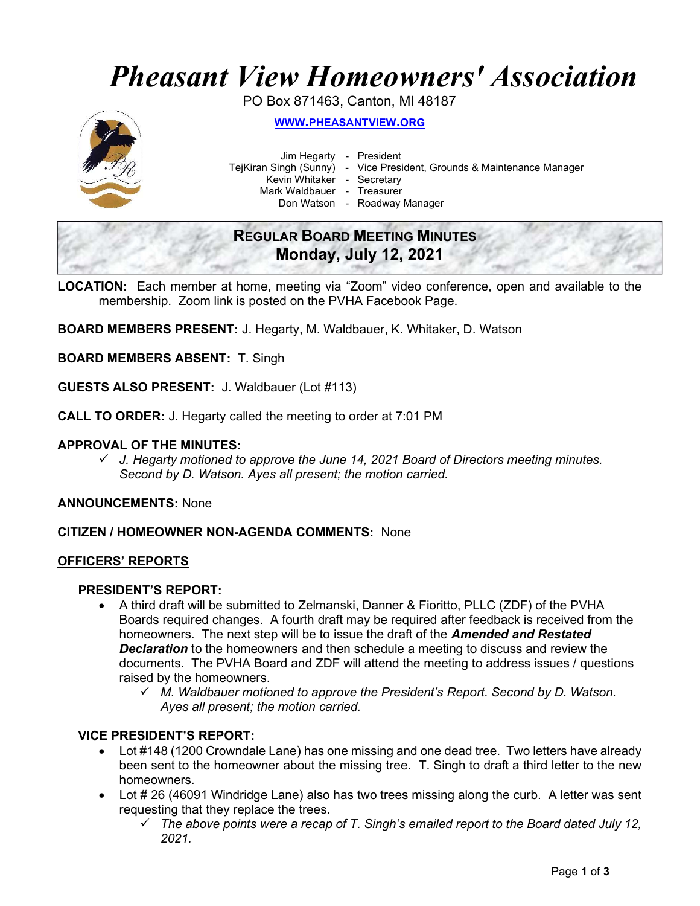# Pheasant View Homeowners' Association

PO Box 871463, Canton, MI 48187



WWW.PHEASANTVIEW.ORG

Jim Hegarty - President

TejKiran Singh (Sunny) - Vice President, Grounds & Maintenance Manager

Kevin Whitaker - Secretary

Mark Waldbauer - Treasurer

Don Watson - Roadway Manager

# REGULAR BOARD MEETING MINUTES Monday, July 12, 2021

LOCATION: Each member at home, meeting via "Zoom" video conference, open and available to the membership. Zoom link is posted on the PVHA Facebook Page.

BOARD MEMBERS PRESENT: J. Hegarty, M. Waldbauer, K. Whitaker, D. Watson

BOARD MEMBERS ABSENT: T. Singh

GUESTS ALSO PRESENT: J. Waldbauer (Lot #113)

CALL TO ORDER: J. Hegarty called the meeting to order at 7:01 PM

#### APPROVAL OF THE MINUTES:

 $\checkmark$  J. Hegarty motioned to approve the June 14, 2021 Board of Directors meeting minutes. Second by D. Watson. Ayes all present; the motion carried.

ANNOUNCEMENTS: None

#### CITIZEN / HOMEOWNER NON-AGENDA COMMENTS: None

#### OFFICERS' REPORTS

#### PRESIDENT'S REPORT:

- A third draft will be submitted to Zelmanski, Danner & Fioritto, PLLC (ZDF) of the PVHA Boards required changes. A fourth draft may be required after feedback is received from the homeowners. The next step will be to issue the draft of the **Amended and Restated Declaration** to the homeowners and then schedule a meeting to discuss and review the documents. The PVHA Board and ZDF will attend the meeting to address issues / questions raised by the homeowners.
	- $\checkmark$  M. Waldbauer motioned to approve the President's Report. Second by D. Watson. Ayes all present; the motion carried.

#### VICE PRESIDENT'S REPORT:

- Lot #148 (1200 Crowndale Lane) has one missing and one dead tree. Two letters have already been sent to the homeowner about the missing tree. T. Singh to draft a third letter to the new homeowners.
- Lot # 26 (46091 Windridge Lane) also has two trees missing along the curb. A letter was sent requesting that they replace the trees.
	- $\checkmark$  The above points were a recap of T. Singh's emailed report to the Board dated July 12, 2021.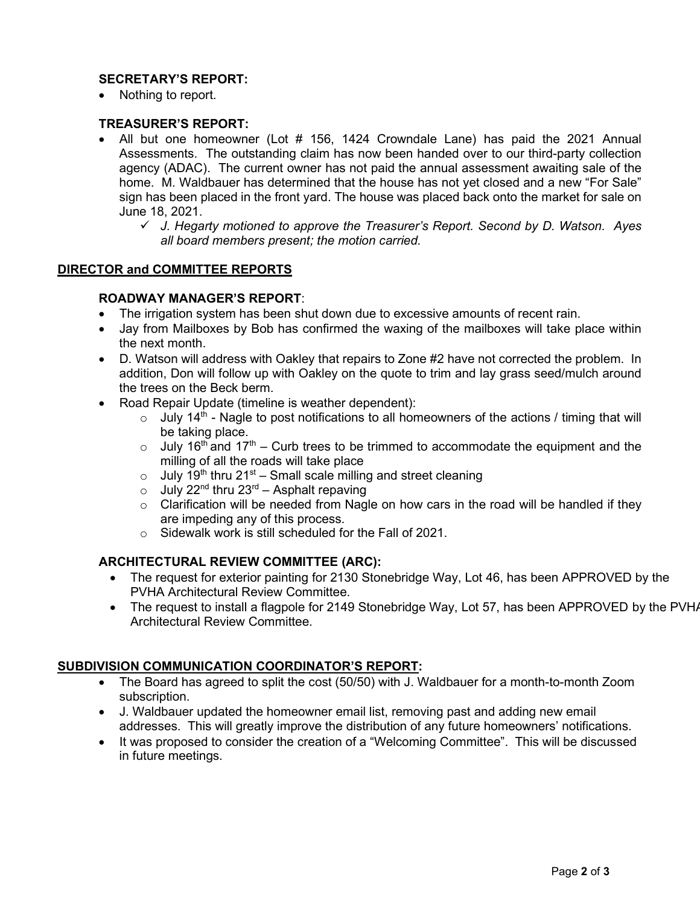# SECRETARY'S REPORT:

• Nothing to report.

# TREASURER'S REPORT:

- All but one homeowner (Lot # 156, 1424 Crowndale Lane) has paid the 2021 Annual Assessments. The outstanding claim has now been handed over to our third-party collection agency (ADAC). The current owner has not paid the annual assessment awaiting sale of the home. M. Waldbauer has determined that the house has not yet closed and a new "For Sale" sign has been placed in the front yard. The house was placed back onto the market for sale on June 18, 2021.
	- $\checkmark$  J. Hegarty motioned to approve the Treasurer's Report. Second by D. Watson. Ayes all board members present; the motion carried.

#### DIRECTOR and COMMITTEE REPORTS

#### ROADWAY MANAGER'S REPORT:

- The irrigation system has been shut down due to excessive amounts of recent rain.
- Jay from Mailboxes by Bob has confirmed the waxing of the mailboxes will take place within the next month.
- D. Watson will address with Oakley that repairs to Zone #2 have not corrected the problem. In addition, Don will follow up with Oakley on the quote to trim and lay grass seed/mulch around the trees on the Beck berm.
- Road Repair Update (timeline is weather dependent):
	- $\circ$  July 14<sup>th</sup> Nagle to post notifications to all homeowners of the actions / timing that will be taking place.
	- $\circ$  July 16<sup>th</sup> and 17<sup>th</sup> Curb trees to be trimmed to accommodate the equipment and the milling of all the roads will take place
	- $\circ$  July 19<sup>th</sup> thru 21<sup>st</sup> Small scale milling and street cleaning
	- $\circ$  July 22<sup>nd</sup> thru 23<sup>rd</sup> Asphalt repaving
	- $\circ$  Clarification will be needed from Nagle on how cars in the road will be handled if they are impeding any of this process.
	- o Sidewalk work is still scheduled for the Fall of 2021.

# ARCHITECTURAL REVIEW COMMITTEE (ARC):

- The request for exterior painting for 2130 Stonebridge Way, Lot 46, has been APPROVED by the PVHA Architectural Review Committee.
- The request to install a flagpole for 2149 Stonebridge Way, Lot 57, has been APPROVED by the PVHA Architectural Review Committee.

# SUBDIVISION COMMUNICATION COORDINATOR'S REPORT:

- The Board has agreed to split the cost (50/50) with J. Waldbauer for a month-to-month Zoom subscription.
- J. Waldbauer updated the homeowner email list, removing past and adding new email addresses. This will greatly improve the distribution of any future homeowners' notifications.
- It was proposed to consider the creation of a "Welcoming Committee". This will be discussed in future meetings.